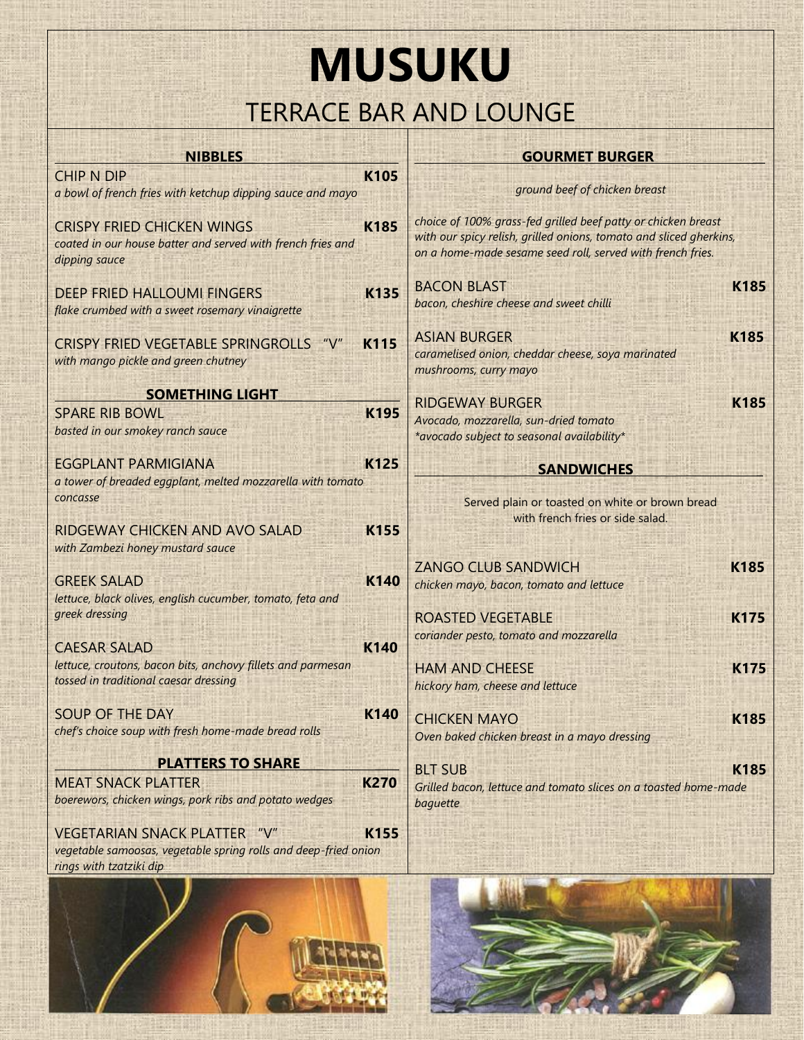## **MUSUKU** TERRACE BAR AND LOUNGE

| <b>NIBBLES</b>                                                                                                    |             | <b>GOURMET BURGER</b>                                                                                                                                                                             |  |
|-------------------------------------------------------------------------------------------------------------------|-------------|---------------------------------------------------------------------------------------------------------------------------------------------------------------------------------------------------|--|
| <b>CHIP N DIP</b><br>a bowl of french fries with ketchup dipping sauce and mayo                                   | <b>K105</b> | ground beef of chicken breast                                                                                                                                                                     |  |
| <b>CRISPY FRIED CHICKEN WINGS</b><br>coated in our house batter and served with french fries and<br>dipping sauce | <b>K185</b> | choice of 100% grass-fed grilled beef patty or chicken breast<br>with our spicy relish, grilled onions, tomato and sliced gherkins,<br>on a home-made sesame seed roll, served with french fries. |  |
| <b>DEEP FRIED HALLOUMI FINGERS</b><br>flake crumbed with a sweet rosemary vinaigrette                             | <b>K135</b> | <b>BACON BLAST</b><br>K185<br>bacon, cheshire cheese and sweet chilli                                                                                                                             |  |
| <b>CRISPY FRIED VEGETABLE SPRINGROLLS</b><br>" $V''$<br>with mango pickle and green chutney                       | <b>K115</b> | <b>K185</b><br><b>ASIAN BURGER</b><br>caramelised onion, cheddar cheese, soya marinated<br>mushrooms, curry mayo                                                                                  |  |
| <b>SOMETHING LIGHT</b>                                                                                            |             | <b>RIDGEWAY BURGER</b><br><b>K185</b>                                                                                                                                                             |  |
| <b>SPARE RIB BOWL</b><br>basted in our smokey ranch sauce                                                         | <b>K195</b> | Avocado, mozzarella, sun-dried tomato<br>*avocado subject to seasonal availability*                                                                                                               |  |
| <b>EGGPLANT PARMIGIANA</b>                                                                                        | K125        | <b>SANDWICHES</b>                                                                                                                                                                                 |  |
| a tower of breaded eggplant, melted mozzarella with tomato                                                        |             |                                                                                                                                                                                                   |  |
| concasse<br>RIDGEWAY CHICKEN AND AVO SALAD<br>with Zambezi honey mustard sauce                                    | K155        | Served plain or toasted on white or brown bread<br>with french fries or side salad.                                                                                                               |  |
|                                                                                                                   |             | <b>ZANGO CLUB SANDWICH</b><br><b>K185</b>                                                                                                                                                         |  |
| <b>GREEK SALAD</b><br>lettuce, black olives, english cucumber, tomato, feta and                                   | K140        | chicken mayo, bacon, tomato and lettuce                                                                                                                                                           |  |
| greek dressing                                                                                                    |             | <b>K175</b><br><b>ROASTED VEGETABLE</b>                                                                                                                                                           |  |
|                                                                                                                   |             | coriander pesto, tomato and mozzarella                                                                                                                                                            |  |
| <b>CAESAR SALAD</b>                                                                                               | <b>K140</b> |                                                                                                                                                                                                   |  |
| lettuce, croutons, bacon bits, anchovy fillets and parmesan<br>tossed in traditional caesar dressing              |             | <b>K175</b><br><b>HAM AND CHEESE</b>                                                                                                                                                              |  |
|                                                                                                                   |             | hickory ham, cheese and lettuce                                                                                                                                                                   |  |
| <b>SOUP OF THE DAY</b>                                                                                            | K140        | <b>CHICKEN MAYO</b><br><b>K185</b>                                                                                                                                                                |  |
| chef's choice soup with fresh home-made bread rolls                                                               |             | Oven baked chicken breast in a mayo dressing                                                                                                                                                      |  |
| <b>PLATTERS TO SHARE</b>                                                                                          |             |                                                                                                                                                                                                   |  |
| <b>MEAT SNACK PLATTER</b>                                                                                         | <b>K270</b> | K185<br><b>BLT SUB</b><br>Grilled bacon, lettuce and tomato slices on a toasted home-made                                                                                                         |  |
| boerewors, chicken wings, pork ribs and potato wedges                                                             |             | baguette                                                                                                                                                                                          |  |
| <b>VEGETARIAN SNACK PLATTER "V"</b>                                                                               | K155        |                                                                                                                                                                                                   |  |
| vegetable samoosas, vegetable spring rolls and deep-fried onion                                                   |             |                                                                                                                                                                                                   |  |
| rings with tzatziki dip                                                                                           |             |                                                                                                                                                                                                   |  |